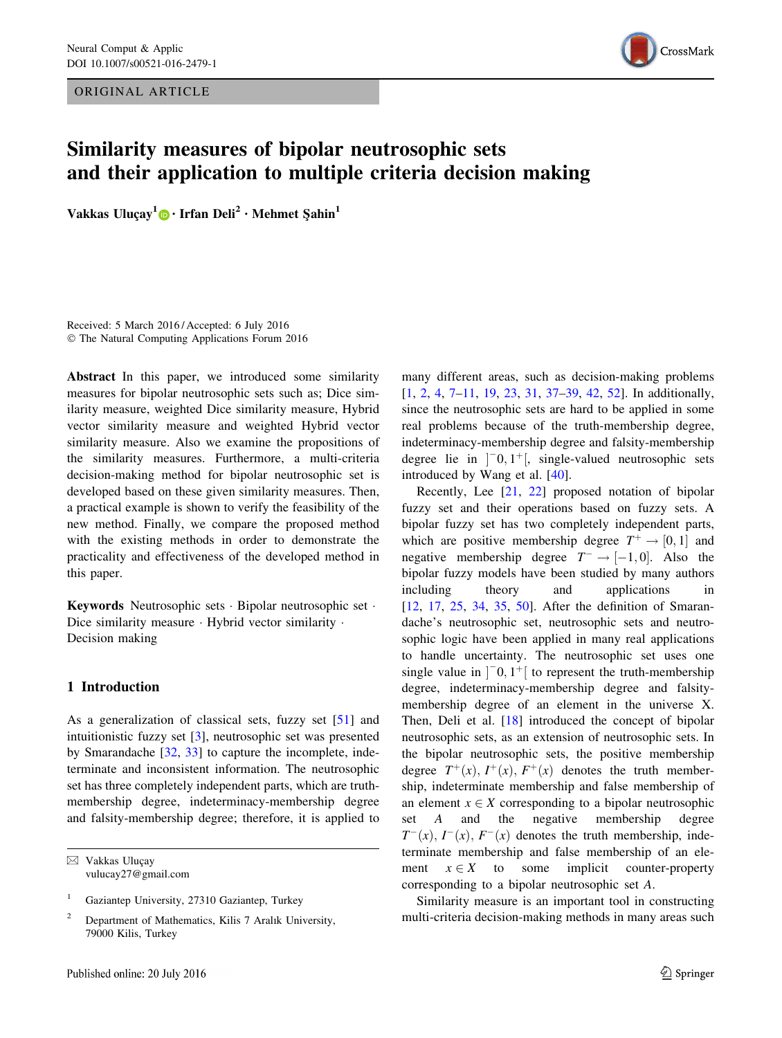ORIGINAL ARTICLE



# Similarity measures of bipolar neutrosophic sets and their application to multiple criteria decision making

Vakkas Uluçay<sup>1</sup> • Irfan Deli<sup>2</sup> • Mehmet Sahin<sup>1</sup>

Received: 5 March 2016 / Accepted: 6 July 2016 © The Natural Computing Applications Forum 2016

Abstract In this paper, we introduced some similarity measures for bipolar neutrosophic sets such as; Dice similarity measure, weighted Dice similarity measure, Hybrid vector similarity measure and weighted Hybrid vector similarity measure. Also we examine the propositions of the similarity measures. Furthermore, a multi-criteria decision-making method for bipolar neutrosophic set is developed based on these given similarity measures. Then, a practical example is shown to verify the feasibility of the new method. Finally, we compare the proposed method with the existing methods in order to demonstrate the practicality and effectiveness of the developed method in this paper.

Keywords Neutrosophic sets - Bipolar neutrosophic set - Dice similarity measure · Hybrid vector similarity · Decision making

# 1 Introduction

As a generalization of classical sets, fuzzy set [[51\]](#page-9-0) and intuitionistic fuzzy set [\[3](#page-8-0)], neutrosophic set was presented by Smarandache [\[32](#page-8-0), [33](#page-9-0)] to capture the incomplete, indeterminate and inconsistent information. The neutrosophic set has three completely independent parts, which are truthmembership degree, indeterminacy-membership degree and falsity-membership degree; therefore, it is applied to

⊠ Vakkas Uluçay vulucay27@gmail.com many different areas, such as decision-making problems [\[1](#page-8-0), [2](#page-8-0), [4](#page-8-0), [7–11](#page-8-0), [19](#page-8-0), [23](#page-8-0), [31](#page-8-0), [37–39,](#page-9-0) [42,](#page-9-0) [52\]](#page-9-0). In additionally, since the neutrosophic sets are hard to be applied in some real problems because of the truth-membership degree, indeterminacy-membership degree and falsity-membership degree lie in  $]$ <sup>-</sup>0, 1<sup>+</sup>[, single-valued neutrosophic sets introduced by Wang et al. [[40\]](#page-9-0).

Recently, Lee [[21,](#page-8-0) [22\]](#page-8-0) proposed notation of bipolar fuzzy set and their operations based on fuzzy sets. A bipolar fuzzy set has two completely independent parts, which are positive membership degree  $T^+ \rightarrow [0, 1]$  and negative membership degree  $T^- \rightarrow [-1, 0]$ . Also the bipolar fuzzy models have been studied by many authors including theory and applications in [\[12](#page-8-0), [17](#page-8-0), [25,](#page-8-0) [34,](#page-9-0) [35](#page-9-0), [50](#page-9-0)]. After the definition of Smarandache's neutrosophic set, neutrosophic sets and neutrosophic logic have been applied in many real applications to handle uncertainty. The neutrosophic set uses one single value in  $]$ <sup>-</sup>0, 1<sup>+</sup>[ to represent the truth-membership degree, indeterminacy-membership degree and falsitymembership degree of an element in the universe X. Then, Deli et al. [\[18](#page-8-0)] introduced the concept of bipolar neutrosophic sets, as an extension of neutrosophic sets. In the bipolar neutrosophic sets, the positive membership degree  $T^+(x)$ ,  $I^+(x)$ ,  $F^+(x)$  denotes the truth membership, indeterminate membership and false membership of an element  $x \in X$  corresponding to a bipolar neutrosophic set A and the negative membership degree  $T^-(x)$ ,  $I^-(x)$ ,  $F^-(x)$  denotes the truth membership, indeterminate membership and false membership of an element  $x \in X$  to some implicit counter-property corresponding to a bipolar neutrosophic set A.

Similarity measure is an important tool in constructing multi-criteria decision-making methods in many areas such

<sup>1</sup> Gaziantep University, 27310 Gaziantep, Turkey

<sup>2</sup> Department of Mathematics, Kilis 7 Aralık University, 79000 Kilis, Turkey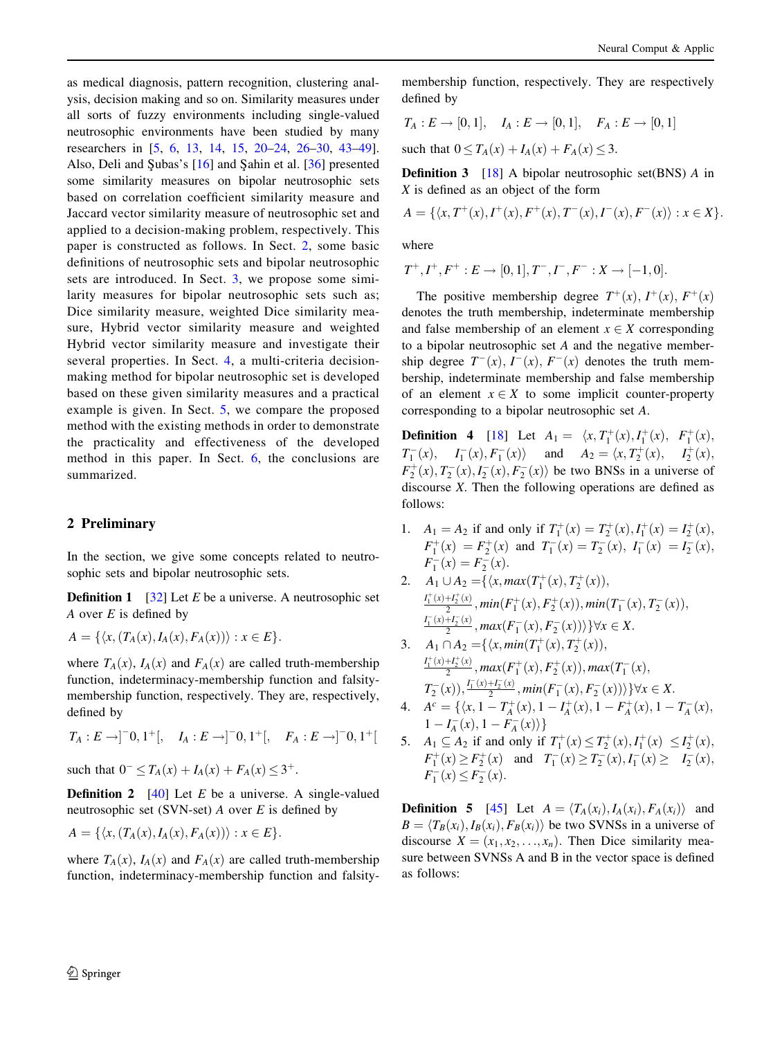as medical diagnosis, pattern recognition, clustering analysis, decision making and so on. Similarity measures under all sorts of fuzzy environments including single-valued neutrosophic environments have been studied by many researchers in [[5,](#page-8-0) [6](#page-8-0), [13,](#page-8-0) [14](#page-8-0), [15](#page-8-0), [20–24,](#page-8-0) [26](#page-8-0)–[30,](#page-8-0) [43–49](#page-9-0)]. Also, Deli and Subas's  $[16]$  $[16]$  and Sahin et al.  $[36]$  $[36]$  presented some similarity measures on bipolar neutrosophic sets based on correlation coefficient similarity measure and Jaccard vector similarity measure of neutrosophic set and applied to a decision-making problem, respectively. This paper is constructed as follows. In Sect. 2, some basic definitions of neutrosophic sets and bipolar neutrosophic sets are introduced. In Sect. [3,](#page-2-0) we propose some similarity measures for bipolar neutrosophic sets such as; Dice similarity measure, weighted Dice similarity measure, Hybrid vector similarity measure and weighted Hybrid vector similarity measure and investigate their several properties. In Sect. [4,](#page-5-0) a multi-criteria decisionmaking method for bipolar neutrosophic set is developed based on these given similarity measures and a practical example is given. In Sect. [5,](#page-7-0) we compare the proposed method with the existing methods in order to demonstrate the practicality and effectiveness of the developed method in this paper. In Sect. [6](#page-8-0), the conclusions are summarized.

## 2 Preliminary

In the section, we give some concepts related to neutrosophic sets and bipolar neutrosophic sets.

**Definition 1** [\[32](#page-8-0)] Let E be a universe. A neutrosophic set A over  $E$  is defined by

$$
A = \{ \langle x, (T_A(x), I_A(x), F_A(x)) \rangle : x \in E \}.
$$

where  $T_A(x)$ ,  $I_A(x)$  and  $F_A(x)$  are called truth-membership function, indeterminacy-membership function and falsitymembership function, respectively. They are, respectively, defined by

$$
T_A:E\to ]^-0,1^+[, \quad I_A:E\to ]^-0,1^+[, \quad F_A:E\to ]^-0,1^+[
$$

such that  $0^- \leq T_A(x) + I_A(x) + F_A(x) \leq 3^+$ .

**Definition 2** [[40\]](#page-9-0) Let  $E$  be a universe. A single-valued neutrosophic set (SVN-set)  $A$  over  $E$  is defined by

$$
A = \{ \langle x, (T_A(x), I_A(x), F_A(x)) \rangle : x \in E \}.
$$

where  $T_A(x)$ ,  $I_A(x)$  and  $F_A(x)$  are called truth-membership function, indeterminacy-membership function and falsitymembership function, respectively. They are respectively defined by

$$
T_A: E \to [0,1], \quad I_A: E \to [0,1], \quad F_A: E \to [0,1]
$$

such that  $0 \le T_A(x) + I_A(x) + F_A(x) \le 3$ .

**Definition 3** [\[18](#page-8-0)] A bipolar neutrosophic set(BNS) A in X is defined as an object of the form

$$
A = \{ \langle x, T^+(x), I^+(x), F^+(x), T^-(x), I^-(x), F^-(x) \rangle : x \in X \}.
$$

where

$$
T^+, I^+, F^+ : E \to [0, 1], T^-, I^-, F^- : X \to [-1, 0].
$$

The positive membership degree  $T^+(x)$ ,  $I^+(x)$ ,  $F^+(x)$ denotes the truth membership, indeterminate membership and false membership of an element  $x \in X$  corresponding to a bipolar neutrosophic set A and the negative membership degree  $T^-(x)$ ,  $I^-(x)$ ,  $F^-(x)$  denotes the truth membership, indeterminate membership and false membership of an element  $x \in X$  to some implicit counter-property corresponding to a bipolar neutrosophic set A.

**Definition 4** [[18\]](#page-8-0) Let  $A_1 = \langle x, T_1^+(x), I_1^+(x), F_1^+(x),$  $T_1^-(x)$ ,  $I_1^-(x)$ ,  $F_1^-(x)$  and  $A_2 = \langle x, T_2^+(x), I_2^+(x)$ ,  $F_2^+(x)$ ,  $T_2^-(x)$ ,  $T_2^-(x)$ ,  $F_2^-(x)$  be two BNSs in a universe of discourse X. Then the following operations are defined as follows:

- 1.  $A_1 = A_2$  if and only if  $T_1^+(x) = T_2^+(x)$ ,  $I_1^+(x) = I_2^+(x)$ ,  $F_1^+(x) = F_2^+(x)$  and  $T_1^-(x) = T_2^-(x)$ ,  $I_1^-(x) = I_2^-(x)$ ,  $F_1^-(x) = F_2^-(x)$ .
- 2.  $A_1 \cup A_2 = {\langle x, max(T_1^+(x), T_2^+(x)),$  $\frac{I_1^+(x)+I_2^+(x)}{2}$ , min $(F_1^+(x),F_2^+(x)),$  min $(T_1^-(x),T_2^-(x)),$  $\frac{I_1^-(x)+I_2^-(x)}{2}$ , max $(F_1^-(x),F_2^-(x))\}\forall x\in X$ .

3. 
$$
A_1 \cap A_2 = \{ \langle x, min(T_1^+(x), T_2^+(x)),
$$
  
\n $\frac{I_1^+(x) + I_2^+(x)}{2}, max(F_1^+(x), F_2^+(x)), max(T_1^-(x),$   
\n $T_2^-(x)), \frac{I_1^-(x) + I_2^-(x)}{2}, min(F_1^-(x), F_2^-(x))) \} \forall x \in X.$ 

- 4.  $A^c = \{ \langle x, 1 T_A^+(x), 1 I_A^+(x), 1 F_A^+(x), 1 T_A^-(x), \rangle \}$  $1 - I^-_A(x), 1 - F^-_A(x) \rangle \}$
- 5.  $A_1 \subseteq A_2$  if and only if  $T_1^+(x) \leq T_2^+(x)$ ,  $I_1^+(x) \leq I_2^+(x)$ ,  $F_1^+(x) \geq F_2^+(x)$  and  $T_1^-(x) \geq T_2^-(x)$ ,  $I_1^-(x) \geq I_2^-(x)$ ,  $F_1^-(x) \leq F_2^-(x)$ .

**Definition 5** [\[45](#page-9-0)] Let  $A = \langle T_A(x_i), I_A(x_i), F_A(x_i) \rangle$  and  $B = \langle T_B(x_i), I_B(x_i), F_B(x_i) \rangle$  be two SVNSs in a universe of discourse  $X = (x_1, x_2, \ldots, x_n)$ . Then Dice similarity measure between SVNSs A and B in the vector space is defined as follows: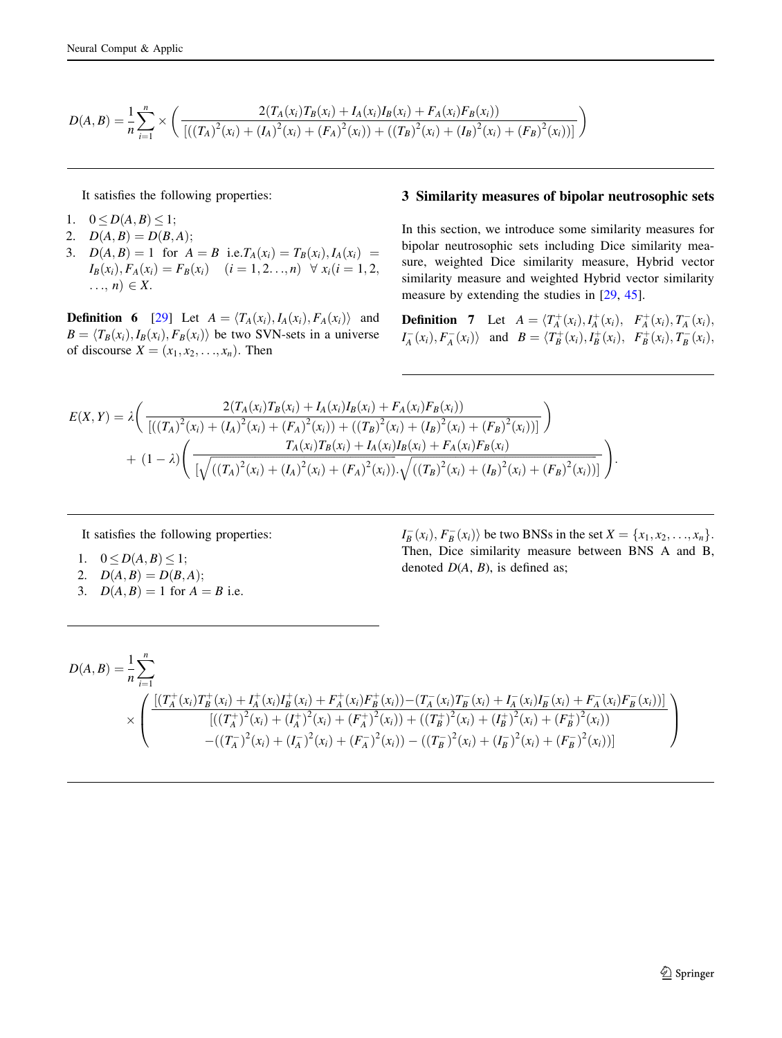<span id="page-2-0"></span>
$$
D(A,B) = \frac{1}{n} \sum_{i=1}^{n} \times \left( \frac{2(T_A(x_i)T_B(x_i) + I_A(x_i)I_B(x_i) + F_A(x_i)F_B(x_i))}{\left[ ((T_A)^2(x_i) + (I_A)^2(x_i) + (F_A)^2(x_i)) + ((T_B)^2(x_i) + (I_B)^2(x_i) + (F_B)^2(x_i)) \right]} \right)
$$

It satisfies the following properties:

- 1.  $0 \leq D(A, B) \leq 1;$
- 2.  $D(A, B) = D(B, A);$
- 3.  $D(A, B) = 1$  for  $A = B$  i.e.  $T_A(x_i) = T_B(x_i)$ ,  $I_A(x_i) =$  $I_B(x_i), F_A(x_i) = F_B(x_i)$   $(i = 1, 2, \ldots, n)$   $\forall x_i (i = 1, 2, \ldots, n)$  $\ldots$ ,  $n) \in X$ .

**Definition 6** [\[29](#page-8-0)] Let  $A = \langle T_A(x_i), I_A(x_i), F_A(x_i) \rangle$  and  $B = \langle T_B(x_i), I_B(x_i), F_B(x_i) \rangle$  be two SVN-sets in a universe of discourse  $X = (x_1, x_2, \ldots, x_n)$ . Then

## 3 Similarity measures of bipolar neutrosophic sets

In this section, we introduce some similarity measures for bipolar neutrosophic sets including Dice similarity measure, weighted Dice similarity measure, Hybrid vector similarity measure and weighted Hybrid vector similarity measure by extending the studies in [\[29](#page-8-0), [45\]](#page-9-0).

**Definition** 7 Let  $A = \langle T_A^+(x_i), I_A^+(x_i), F_A^+(x_i), T_A^-(x_i),$  $I_A^-(x_i), F_A^-(x_i)$  and  $B = \langle T_B^+(x_i), I_B^+(x_i), F_B^+(x_i), T_B^-(x_i),$ 

$$
E(X, Y) = \lambda \left( \frac{2(T_A(x_i)T_B(x_i) + I_A(x_i)I_B(x_i) + F_A(x_i)F_B(x_i))}{\left[\left((T_A)^2(x_i) + (I_A)^2(x_i) + (F_A)^2(x_i)\right) + ((T_B)^2(x_i) + (I_B)^2(x_i) + (F_B)^2(x_i))\right]}\right) + (1 - \lambda) \left( \frac{T_A(x_i)T_B(x_i) + I_A(x_i)I_B(x_i) + F_A(x_i)F_B(x_i)}{\left[\sqrt{\left((T_A)^2(x_i) + (I_A)^2(x_i) + (F_A)^2(x_i)\right) \cdot \sqrt{\left((T_B)^2(x_i) + (I_B)^2(x_i) + (F_B)^2(x_i)\right)}\right]}\right)
$$

It satisfies the following properties:

- 1.  $0 \leq D(A, B) \leq 1$ ;
- 2.  $D(A, B) = D(B, A);$
- 3.  $D(A, B) = 1$  for  $A = B$  i.e.

 $I_B^-(x_i), F_B^-(x_i)$  be two BNSs in the set  $X = \{x_1, x_2, ..., x_n\}.$ Then, Dice similarity measure between BNS A and B, denoted  $D(A, B)$ , is defined as;

:

$$
D(A,B) = \frac{1}{n} \sum_{i=1}^{n} \left( \frac{\left[ (T_A^+(x_i)T_B^+(x_i) + I_A^+(x_i)I_B^+(x_i) + F_A^+(x_i)F_B^+(x_i)) - (T_A^-(x_i)T_B^-(x_i) + I_A^-(x_i)I_B^-(x_i) + F_A^-(x_i)F_B^-(x_i)) \right]}{\left[ ((T_A^+)^2(x_i) + (I_A^+)^2(x_i) + (F_A^+)^2(x_i)) + ((T_B^+)^2(x_i) + (I_B^+)^2(x_i) + (F_B^+)^2(x_i)) \right]} \right)
$$
  
-
$$
-( (T_A^-)^2(x_i) + (I_A^-)^2(x_i) + (F_A^-)^2(x_i)) - ((T_B^-)^2(x_i) + (I_B^-)^2(x_i) + (F_B^-)^2(x_i))
$$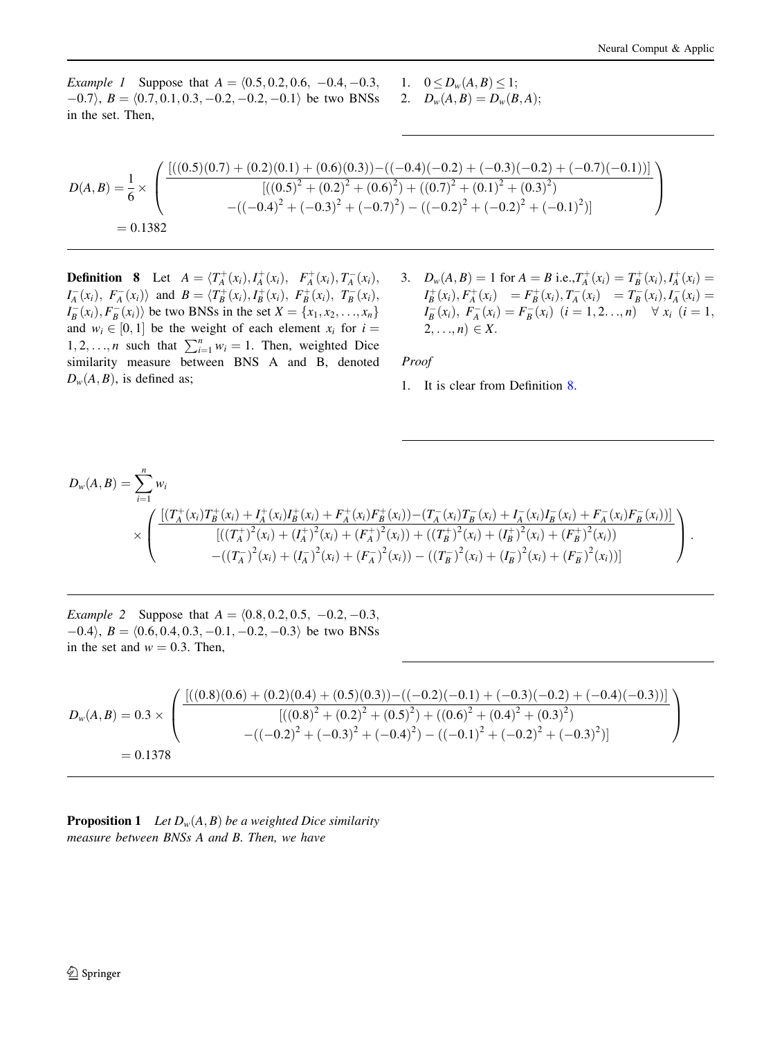*Example 1* Suppose that  $A = \langle 0.5, 0.2, 0.6, -0.4, -0.3, \rangle$  $(0.7), B = (0.7, 0.1, 0.3, -0.2, -0.2, -0.1)$  be two BNSs in the set. Then,

1.  $0 \le D_w(A, B) \le 1;$ 2.  $D_w(A, B) = D_w(B, A);$ 

$$
D(A,B) = \frac{1}{6} \times \left( \frac{[((0.5)(0.7) + (0.2)(0.1) + (0.6)(0.3)) - ((-0.4)(-0.2) + (-0.3)(-0.2) + (-0.7)(-0.1))] }{[((0.5)^2 + (0.2)^2 + (0.6)^2) + ((0.7)^2 + (0.1)^2 + (0.3)^2) } - ((-0.4)^2 + (-0.3)^2 + (-0.7)^2) - ((-0.2)^2 + (-0.2)^2 + (-0.1)^2)] \right)
$$
  
= 0.1382

**Definition** 8 Let  $A = \langle T_A^+(x_i), I_A^+(x_i), F_A^+(x_i), T_A^-(x_i),$  $I_A^-(x_i)$ ,  $F_A^-(x_i)$  and  $B = \langle T_B^+(x_i), I_B^+(x_i), F_B^+(x_i), T_B^-(x_i)$ ,  $I_B^-(x_i), F_B^-(x_i)$  be two BNSs in the set  $X = \{x_1, x_2, \ldots, x_n\}$ and  $w_i \in [0, 1]$  be the weight of each element  $x_i$  for  $i =$ 1, 2, ..., *n* such that  $\sum_{i=1}^{n} w_i = 1$ . Then, weighted Dice similarity measure between BNS A and B, denoted  $D_w(A, B)$ , is defined as;

3.  $D_w(A, B) = 1$  for  $A = B$  i.e.,  $T_A^+(x_i) = T_B^+(x_i)$ ,  $I_A^+(x_i) =$  $I_B^+(x_i), F_A^+(x_i) = F_B^+(x_i), T_A^-(x_i) = T_B^-(x_i), I_A^-(x_i) =$  $I_B^-(x_i)$ ,  $F_A^-(x_i) = F_B^-(x_i)$   $(i = 1, 2, ..., n)$   $\forall x_i$   $(i = 1,$  $2, \ldots, n) \in X.$ 

Proof

1. It is clear from Definition 8.

$$
D_{w}(A, B) = \sum_{i=1}^{n} w_{i}
$$
  
\n
$$
\times \left( \frac{\left[ (T_{A}^{+}(x_{i})T_{B}^{+}(x_{i}) + I_{A}^{+}(x_{i})I_{B}^{+}(x_{i}) + F_{A}^{+}(x_{i})F_{B}^{+}(x_{i})) - (T_{A}^{-}(x_{i})T_{B}^{-}(x_{i}) + I_{A}^{-}(x_{i})I_{B}^{-}(x_{i}) + F_{A}^{-}(x_{i})F_{B}^{-}(x_{i})) \right]}{\left[ ((T_{A}^{+})^{2}(x_{i}) + (T_{A}^{+})^{2}(x_{i}) + (F_{A}^{+})^{2}(x_{i})) + ((T_{B}^{+})^{2}(x_{i}) + (F_{B}^{+})^{2}(x_{i}) + (F_{B}^{+})^{2}(x_{i})) \right]} - ((T_{A}^{-})^{2}(x_{i}) + (T_{A}^{-})^{2}(x_{i}) + (F_{A}^{-})^{2}(x_{i})) - ((T_{B}^{-})^{2}(x_{i}) + (F_{B}^{-})^{2}(x_{i})) \right).
$$

*Example 2* Suppose that  $A = \langle 0.8, 0.2, 0.5, -0.2, -0.3, \rangle$  $(0.4), B = (0.6, 0.4, 0.3, -0.1, -0.2, -0.3)$  be two BNSs in the set and  $w = 0.3$ . Then,

$$
D_w(A,B) = 0.3 \times \left( \frac{[((0.8)(0.6) + (0.2)(0.4) + (0.5)(0.3)) - ((-0.2)(-0.1) + (-0.3)(-0.2) + (-0.4)(-0.3))]}{[((0.8)^2 + (0.2)^2 + (0.5)^2) + ((0.6)^2 + (0.4)^2 + (0.3)^2)} - ((-0.2)^2 + (-0.3)^2 + (-0.4)^2) - ((-0.1)^2 + (-0.2)^2 + (-0.3)^2)] \right)
$$
  
= 0.1378

**Proposition 1** Let  $D_w(A, B)$  be a weighted Dice similarity measure between BNSs A and B. Then, we have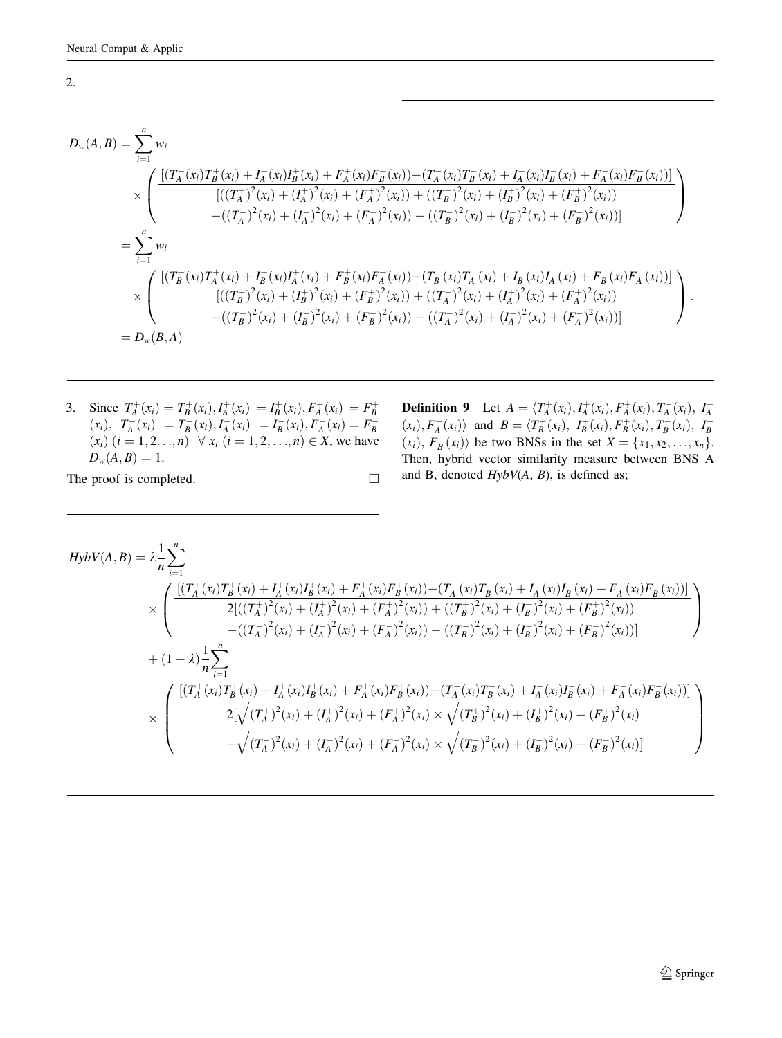$$
D_{w}(A,B) = \sum_{i=1}^{n} w_{i}
$$
  
\n
$$
\times \left( \frac{\left[ (T_{A}^{+}(x_{i})T_{B}^{+}(x_{i}) + I_{A}^{+}(x_{i})I_{B}^{+}(x_{i}) + F_{A}^{+}(x_{i})F_{B}^{+}(x_{i})) - (T_{A}^{-}(x_{i})T_{B}^{-}(x_{i}) + I_{A}^{-}(x_{i})I_{B}^{-}(x_{i}) + F_{A}^{-}(x_{i})F_{B}^{-}(x_{i})) \right]}{\left[ ((T_{A}^{+})^{2}(x_{i}) + (I_{A}^{+})^{2}(x_{i}) + (F_{A}^{+})^{2}(x_{i})) + ((T_{B}^{+})^{2}(x_{i}) + (I_{B}^{+})^{2}(x_{i}) + (F_{B}^{+})^{2}(x_{i})) \right]} - ((T_{A}^{-})^{2}(x_{i}) + (I_{A}^{-})^{2}(x_{i}) + (F_{A}^{-})^{2}(x_{i})) - ((T_{B}^{-})^{2}(x_{i}) + (I_{B}^{-})^{2}(x_{i}) + (F_{B}^{-})^{2}(x_{i})) \right]
$$
  
\n
$$
= \sum_{i=1}^{n} w_{i}
$$
  
\n
$$
\times \left( \frac{\left[ (T_{B}^{+}(x_{i})T_{A}^{+}(x_{i}) + I_{B}^{+}(x_{i})I_{A}^{+}(x_{i}) + F_{B}^{+}(x_{i})F_{A}^{+}(x_{i})) - (T_{B}^{-}(x_{i})T_{A}^{-}(x_{i}) + I_{B}^{-}(x_{i})I_{A}^{-}(x_{i}) + F_{B}^{-}(x_{i})F_{A}^{-}(x_{i})) \right]}{\left[ ((T_{B}^{+})^{2}(x_{i}) + (T_{B}^{+})^{2}(x_{i}) + (F_{B}^{+})^{2}(x_{i})) + ((T_{A}^{+})^{2}(x_{i}) + (I_{A}^{+})^{2}(x_{i}) + (F_{A}^{+})^{2}(x_{i})) \right]} - ((T_{B}^{-})^{2}(x_{i}) + (I_{B}^{-})^{2}(x_{i}) + (F_{B}^{-})^{2}(x_{i})) - ((T_{A}^{-})^{2}(x_{i}) + (I_{A}^{-})^{2}(x_{i}) + (F_{A}^{-})^{2}(x_{i})) \right)
$$
  
\n

3. Since  $T_A^+(x_i) = T_B^+(x_i)$ ,  $T_A^-(x_i) = T_B^-(x_i)$ ,  $T_A^-(x_i) = T_B^-(x_i)$ ,  $T_A^-(x_i) = T_B^-(x_i)$ ,  $T_A^-(x_i) = T_B^-(x_i)$ ,  $T_A^-(x_i) = T_B^-(x_i)$ ,  $T_A^-(x_i) = T_B^-(x_i)$ ,  $T_A^-(x_i) = T_B^-(x_i)$ ,  $T_A^-(x_i) = T_B^-(x_i)$ ,  $T_A^-(x_i) = T_B^-(x_i)$ ,  $T_A^-(x_i) = T_B^-(x_i)$ ,  $T_A$  $D_w(A, B) = 1.$ 

The proof is completed.  $\Box$ 

**Definition 9** Let  $A = \langle T_A^+(x_i), I_A^+(x_i), F_A^+(x_i), T_A^-(x_i), I_A^-(x_i), F_A^-(x_i) \rangle$  and  $B = \langle T_B^+(x_i), I_B^+(x_i), F_B^+(x_i), T_B^-(x_i), I_B^-(x_i) \rangle$  $(x_i)$ ,  $F_B^-(x_i)$  be two BNSs in the set  $X = \{x_1, x_2, ..., x_n\}$ . Then, hybrid vector similarity measure between BNS A and B, denoted  $HybV(A, B)$ , is defined as;

$$
HybV(A,B) = \lambda \frac{1}{n} \sum_{i=1}^{n} \times \left( \frac{\left[ (T_A^+(x_i)T_B^+(x_i) + I_A^+(x_i)I_B^+(x_i) + F_A^+(x_i)F_B^+(x_i)) - (T_A^-(x_i)T_B^-(x_i) + I_A^-(x_i)I_B^-(x_i) + F_A^-(x_i)F_B^-(x_i)) \right]}{2\left[ ((T_A^+)^2(x_i) + (I_A^+)^2(x_i) + (F_A^+)^2(x_i)) + ((T_B^+)^2(x_i) + (I_B^+)^2(x_i) + (F_B^+)^2(x_i)) \right]} \right) \times \left( (T_A^+)^2(x_i) + (T_A^+)^2(x_i) + (T_A^+)^2(x_i) - ((T_B^-)^2(x_i) + (I_B^-)^2(x_i) + (F_B^-)^2(x_i)) \right)
$$
\n
$$
\times \left( \frac{\left[ (T_A^+(x_i)T_B^+(x_i) + I_A^+(x_i)I_B^+(x_i) + F_A^+(x_i)F_B^+(x_i)) - (T_A^-(x_i)T_B^-(x_i) + I_A^-(x_i)I_B^-(x_i) + F_A^-(x_i)F_B^-(x_i)) \right]}{2\left[ \sqrt{(T_A^+)^2(x_i) + (I_A^+)^2(x_i) + (F_A^+)^2(x_i)} \right] \times \sqrt{(T_B^+)^2(x_i) + (I_B^+)^2(x_i) + (F_B^+)^2(x_i)} \right)
$$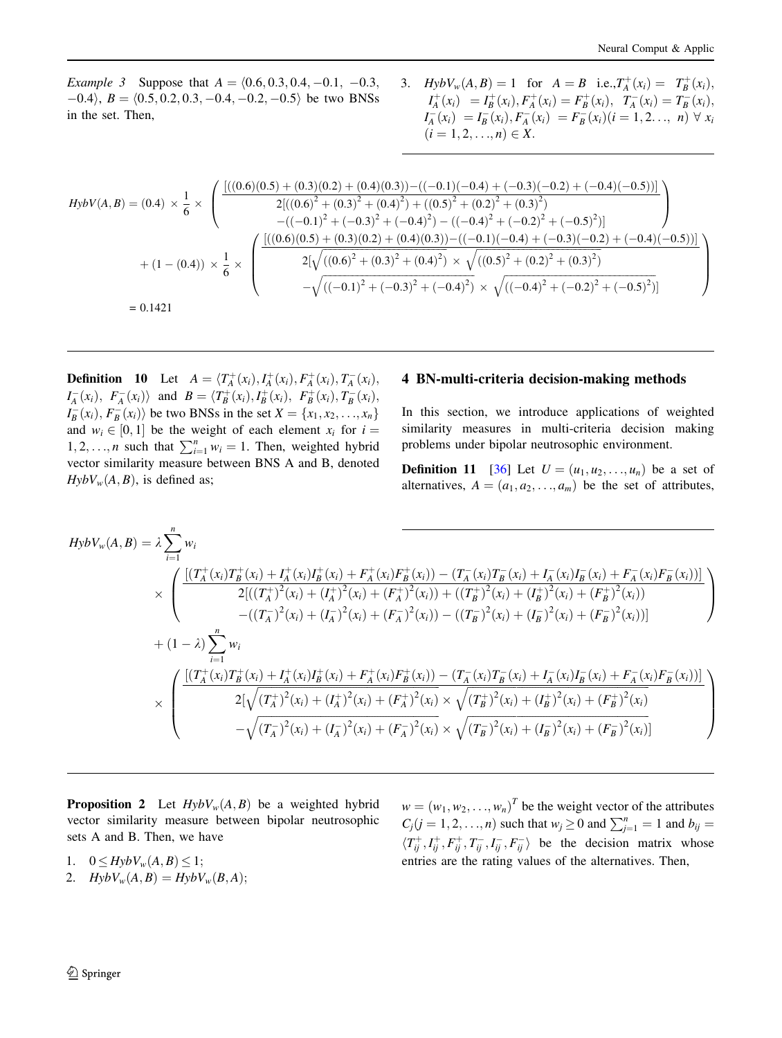<span id="page-5-0"></span>*Example 3* Suppose that  $A = (0.6, 0.3, 0.4, -0.1, -0.3, ...)$  $(0.4)$ ,  $B = (0.5, 0.2, 0.3, -0.4, -0.2, -0.5)$  be two BNSs in the set. Then,

3. 
$$
HybV_w(A, B) = 1 \text{ for } A = B \text{ i.e., } T_A^+(x_i) = T_B^+(x_i),
$$
  
\n
$$
I_A^+(x_i) = I_B^+(x_i), F_A^+(x_i) = F_B^+(x_i), T_A^-(x_i) = T_B^-(x_i),
$$
  
\n
$$
I_A^-(x_i) = I_B^-(x_i), F_A^-(x_i) = F_B^-(x_i)(i = 1, 2, ..., n) \forall x_i
$$
  
\n
$$
(i = 1, 2, ..., n) \in X.
$$

$$
HybV(A,B) = (0.4) \times \frac{1}{6} \times \left( \frac{[((0.6)(0.5) + (0.3)(0.2) + (0.4)(0.3)) - ((-0.1)(-0.4) + (-0.3)(-0.2) + (-0.4)(-0.5))]}{2[((0.6)^2 + (0.3)^2 + (0.4)^2) + ((0.5)^2 + (0.2)^2 + (0.3)^2)} - ((-0.1)^2 + (-0.3)^2 + (-0.4)^2) - ((-0.4)^2 + (-0.2)^2 + (-0.5)^2)] \right) + (1 - (0.4)) \times \frac{1}{6} \times \left( \frac{[((0.6)(0.5) + (0.3)(0.2) + (0.4)(0.3)) - ((-0.1)(-0.4) + (-0.3)(-0.2) + (-0.4)(-0.5))]}{2[\sqrt{((0.6)^2 + (0.3)^2 + (0.4)^2)} \times \sqrt{((0.5)^2 + (0.2)^2 + (0.3)^2})} - \sqrt{((-0.1)^2 + (-0.3)^2 + (-0.4)^2)} \times \sqrt{((-0.4)^2 + (-0.2)^2 + (-0.5)^2)}] \right)
$$
  
= 0.1421

**Definition** 10 Let  $A = \langle T_A^+(x_i), I_A^+(x_i), F_A^+(x_i), T_A^-(x_i),$  $I_A^-(x_i)$ ,  $F_A^-(x_i)$  and  $B = \langle T_B^+(x_i), I_B^+(x_i), F_B^+(x_i), T_B^-(x_i)$ ,  $I_B^-(x_i)$ ,  $F_B^-(x_i)$  be two BNSs in the set  $X = \{x_1, x_2, \ldots, x_n\}$ and  $w_i \in [0, 1]$  be the weight of each element  $x_i$  for  $i =$ 1, 2, ..., *n* such that  $\sum_{i=1}^{n} w_i = 1$ . Then, weighted hybrid vector similarity measure between BNS A and B, denoted  $Hy bV_w(A, B)$ , is defined as;

# 4 BN-multi-criteria decision-making methods

In this section, we introduce applications of weighted similarity measures in multi-criteria decision making problems under bipolar neutrosophic environment.

**Definition 11** [\[36](#page-9-0)] Let  $U = (u_1, u_2, \dots, u_n)$  be a set of alternatives,  $A = (a_1, a_2, \ldots, a_m)$  be the set of attributes,

$$
HybV_{w}(A,B) = \lambda \sum_{i=1}^{n} w_{i}
$$
  
\n
$$
\times \left( \frac{\left[ (T_{A}^{+}(x_{i})T_{B}^{+}(x_{i}) + T_{A}^{+}(x_{i})T_{B}^{+}(x_{i}) + F_{A}^{+}(x_{i})F_{B}^{+}(x_{i})) - (T_{A}^{-}(x_{i})T_{B}^{-}(x_{i}) + T_{A}^{-}(x_{i})T_{B}^{-}(x_{i}) + F_{A}^{-}(x_{i})F_{B}^{-}(x_{i})) \right]}{2\left[ ((T_{A}^{+})^{2}(x_{i}) + (T_{A}^{+})^{2}(x_{i}) + (F_{A}^{+})^{2}(x_{i})) + ((T_{B}^{+})^{2}(x_{i}) + (T_{B}^{+})^{2}(x_{i}) + (F_{B}^{+})^{2}(x_{i})) \right] \right) - ((T_{A}^{-})^{2}(x_{i}) + (T_{A}^{-})^{2}(x_{i})) - ((T_{B}^{-})^{2}(x_{i}) + (T_{B}^{-})^{2}(x_{i}) + (F_{B}^{-})^{2}(x_{i})) \right)
$$
  
\n
$$
+ (1 - \lambda) \sum_{i=1}^{n} w_{i}
$$
  
\n
$$
\times \left( \frac{\left[ (T_{A}^{+}(x_{i})T_{B}^{+}(x_{i}) + T_{A}^{+}(x_{i})T_{B}^{+}(x_{i}) + F_{A}^{+}(x_{i})F_{B}^{+}(x_{i})) - (T_{A}^{-}(x_{i})T_{B}^{-}(x_{i}) + T_{A}^{-}(x_{i})T_{B}^{-}(x_{i}) + F_{A}^{-}(x_{i})F_{B}^{-}(x_{i})) \right]}{2\left[ \sqrt{(T_{A}^{+})^{2}(x_{i}) + (T_{A}^{+})^{2}(x_{i}) + (F_{A}^{+})^{2}(x_{i}) \right] \times \sqrt{(T_{B}^{+})^{2}(x_{i}) + (F_{B}^{+})^{2}(x_{i}) + (F_{B}^{+})^{2}(x_{i})} - \sqrt{(T_{A}^{-})^{2}(x_{i}) + (T_{A}^{-})^{2}(x_{i}) + (F_{A}^{-})^{2}(x_{i}) + (F_{B}^{-})^{2}(x_{i}) + (F_{B}^{-})^{2}(x_{i}) \right)}
$$

**Proposition 2** Let  $Hy bV_w(A, B)$  be a weighted hybrid vector similarity measure between bipolar neutrosophic sets A and B. Then, we have

- 1.  $0 \leq Hy b V_w(A, B) \leq 1;$
- 2.  $HybV_w(A, B) = HybV_w(B, A);$

 $w = (w_1, w_2, \dots, w_n)^T$  be the weight vector of the attributes  $C_j (j = 1, 2, ..., n)$  such that  $w_j \ge 0$  and  $\sum_{j=1}^n = 1$  and  $b_{ij} =$  $\langle T_{ij}^+, I_{ij}^+, F_{ij}^+, T_{ij}^-, I_{ij}^-, F_{ij}^- \rangle$  be the decision matrix whose entries are the rating values of the alternatives. Then,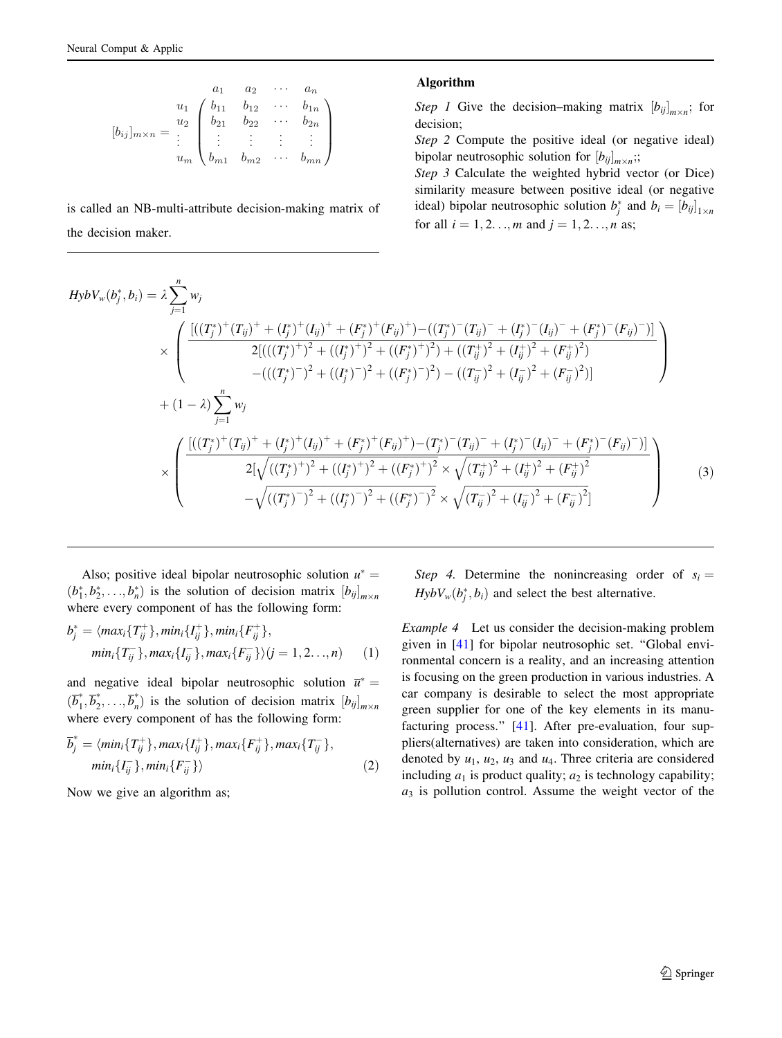$$
[b_{ij}]_{m \times n} = \begin{array}{c} a_1 & a_2 & \cdots & a_n \\ u_1 & b_{11} & b_{12} & \cdots & b_{1n} \\ b_{21} & b_{22} & \cdots & b_{2n} \\ \vdots & \vdots & \vdots & \vdots \\ b_{m1} & b_{m2} & \cdots & b_{mn} \end{array}
$$

is called an NB-multi-attribute decision-making matrix of the decision maker.

#### Algorithm

Step 1 Give the decision–making matrix  $[b_{ij}]_{m \times n}$ ; for decision;

Step 2 Compute the positive ideal (or negative ideal) bipolar neutrosophic solution for  $[b_{ij}]_{m \times n}$ ;

Step 3 Calculate the weighted hybrid vector (or Dice) similarity measure between positive ideal (or negative ideal) bipolar neutrosophic solution  $b_j^*$  and  $b_i = [b_{ij}]_{1 \times n}$ for all  $i = 1, 2, ..., m$  and  $j = 1, 2, ..., n$  as;

$$
HybV_{w}(b_{j}^{*},b_{i}) = \lambda \sum_{j=1}^{n} w_{j}
$$
  
\n
$$
\times \left( \frac{\left[ ((T_{j}^{*})^{+}(T_{ij})^{+} + (I_{j}^{*})^{+}(I_{ij})^{+} + (F_{j}^{*})^{+}(F_{ij})^{+}) - ((T_{j}^{*})^{-}(T_{ij})^{-} + (I_{j}^{*})^{-}(I_{ij})^{-} + (F_{j}^{*})^{-}(F_{ij})^{-}) \right]}{2\left[ ((T_{j}^{*})^{+})^{2} + ((I_{j}^{*})^{+})^{2} + ((F_{j}^{*})^{+})^{2}) + ((T_{ij}^{+})^{2} + (I_{ij}^{+})^{2} + (F_{ij}^{+})^{2}) \right]} - ((T_{j}^{*})^{-})^{2} + ((I_{j}^{*})^{-})^{2} + ((I_{j}^{*})^{-})^{2} + (I_{ij}^{-})^{2} + (I_{ij}^{-})^{2} + (F_{ij}^{-})^{2}) \right]
$$
  
\n
$$
+ (1 - \lambda) \sum_{j=1}^{n} w_{j}
$$
  
\n
$$
\times \left( \frac{\left[ ((T_{j}^{*})^{+}(T_{ij})^{+} + (I_{j}^{*})^{+}(I_{ij})^{+} + (F_{j}^{*})^{+}(F_{ij})^{+}) - (T_{j}^{*})^{-}(T_{ij})^{-} + (I_{j}^{*})^{-}(I_{ij})^{-} + (F_{j}^{*})^{-}(F_{ij})^{-}) \right]}{2[\sqrt{((T_{j}^{*})^{+})^{2} + ((I_{j}^{*})^{+})^{2}} \times \sqrt{(T_{ij}^{+})^{2} + (I_{ij}^{+})^{2} + (F_{ij}^{+})^{2}} - \sqrt{((T_{j}^{*})^{-})^{2} + ((I_{j}^{*})^{-})^{2}} \times \sqrt{(T_{ij}^{-})^{2} + (I_{ij}^{-})^{2} + (F_{ij}^{-})^{2}} \right) (3)
$$

Also; positive ideal bipolar neutrosophic solution  $u^* =$  $(b_1^*, b_2^*, \ldots, b_n^*)$  is the solution of decision matrix  $[b_{ij}]_{m \times n}$ where every component of has the following form:

$$
b_j^* = \langle max_i \{ T_{ij}^+ \}, min_i \{ I_{ij}^+ \}, min_i \{ F_{ij}^+ \}, min_i \{ T_{ij}^- \}, max_i \{ I_{ij}^- \}, max_i \{ F_{ij}^- \} \rangle (j = 1, 2, ..., n)
$$
 (1)

and negative ideal bipolar neutrosophic solution  $\overline{u}^*$  =  $(\overline{b}_1^*, \overline{b}_2^*, \ldots, \overline{b}_n^*)$  is the solution of decision matrix  $[b_{ij}]_{m \times n}$ where every component of has the following form:

$$
\overline{b}_j^* = \langle \min_i \{ T_{ij}^+ \}, \max_i \{ I_{ij}^+ \}, \max_i \{ F_{ij}^+ \}, \max_i \{ T_{ij}^- \},
$$

$$
\min_i \{ I_{ij}^- \}, \min_i \{ F_{ij}^- \} \rangle
$$
(2)

Now we give an algorithm as;

Step 4. Determine the nonincreasing order of  $s_i =$  $HybV_w(b_j^*, b_i)$  and select the best alternative.

Example 4 Let us consider the decision-making problem given in [[41\]](#page-9-0) for bipolar neutrosophic set. ''Global environmental concern is a reality, and an increasing attention is focusing on the green production in various industries. A car company is desirable to select the most appropriate green supplier for one of the key elements in its manufacturing process.'' [\[41](#page-9-0)]. After pre-evaluation, four suppliers(alternatives) are taken into consideration, which are denoted by  $u_1$ ,  $u_2$ ,  $u_3$  and  $u_4$ . Three criteria are considered including  $a_1$  is product quality;  $a_2$  is technology capability;  $a_3$  is pollution control. Assume the weight vector of the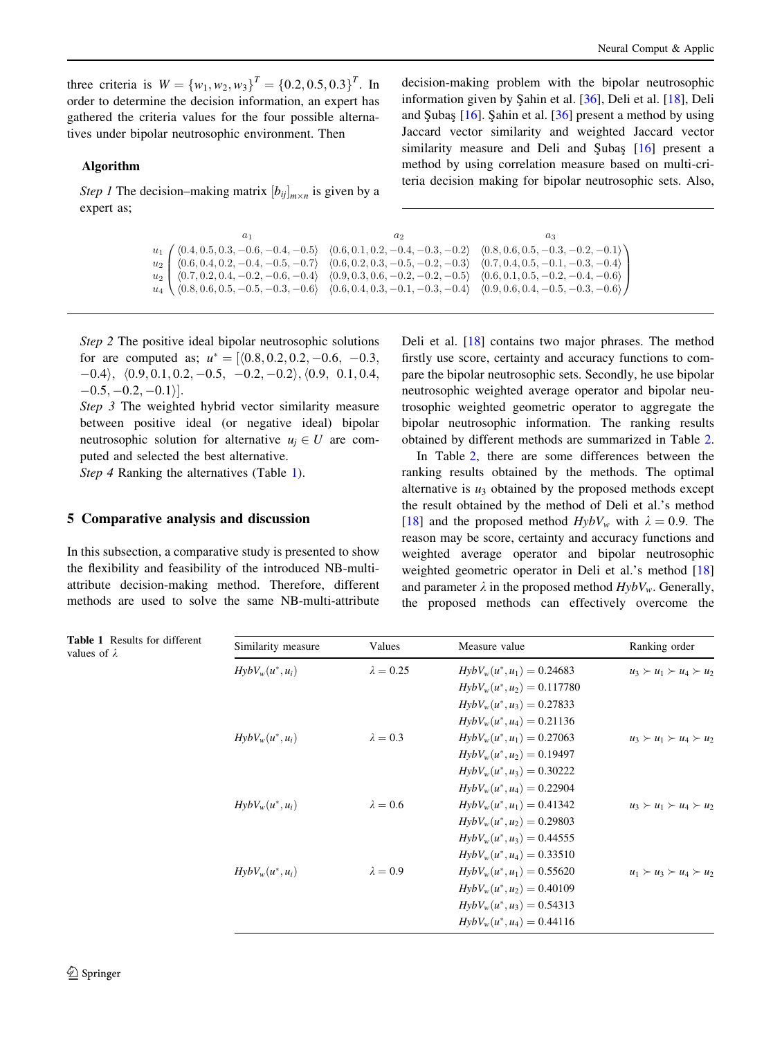<span id="page-7-0"></span>three criteria is  $W = \{w_1, w_2, w_3\}^T = \{0.2, 0.5, 0.3\}^T$ . In order to determine the decision information, an expert has gathered the criteria values for the four possible alternatives under bipolar neutrosophic environment. Then

## Algorithm

*Step 1* The decision–making matrix  $[b_{ij}]_{m \times n}$  is given by a expert as;

decision-making problem with the bipolar neutrosophic information given by Sahin et al. [[36\]](#page-9-0), Deli et al. [[18\]](#page-8-0), Deli and Subas  $[16]$  $[16]$ . Sahin et al.  $[36]$  $[36]$  present a method by using Jaccard vector similarity and weighted Jaccard vector similarity measure and Deli and Subas  $[16]$  $[16]$  present a method by using correlation measure based on multi-criteria decision making for bipolar neutrosophic sets. Also,

```
\sqrt{2}\overline{\mathcal{N}}a_1 a_2 a_3\begin{array}{l} u_1\end{array} \left\{\begin{array}{l} \langle 0.4, 0.5, 0.3, -0.6, -0.4, -0.5\rangle \end{array} \begin{array}{l} \langle 0.6, 0.1, 0.2, -0.4, -0.3, -0.2\rangle \end{array} \begin{array}{l} \langle 0.8, 0.6, 0.5, -0.3, -0.2, -0.1\rangle \\ \langle 0.8, 0.6, 0.5, -0.3, -0.2, -0.4\rangle \end{array}\right.u_2 \begin{bmatrix} \langle 0.6, 0.4, 0.2, -0.4, -0.5, -0.7 \rangle & \langle 0.6, 0.2, 0.3, -0.5, -0.2, -0.3 \rangle & \langle 0.7, 0.4, 0.5, -0.1, -0.3, -0.4 \rangle \\ u_2 \end{bmatrix}u_2 \n\begin{pmatrix} \langle 0.7, 0.2, 0.4, -0.2, -0.6, -0.4 \rangle & \langle 0.9, 0.3, 0.6, -0.2, -0.2, -0.5 \rangle & \langle 0.6, 0.1, 0.5, -0.2, -0.4, -0.6 \rangle \\ u_4 \n\end{pmatrix}(0.8, 0.6, 0.5, -0.5, -0.3, -0.6)\setminus\sqrt{2}
```
Step 2 The positive ideal bipolar neutrosophic solutions for are computed as;  $u^* = \langle 0.8, 0.2, 0.2, -0.6, -0.3, \rangle$  $-0.4$ ;  $\langle 0.9, 0.1, 0.2, -0.5, -0.2, -0.2 \rangle$ ;  $\langle 0.9, 0.1, 0.4,$  $[-0.5, -0.2, -0.1]$ .

Step 3 The weighted hybrid vector similarity measure between positive ideal (or negative ideal) bipolar neutrosophic solution for alternative  $u_i \in U$  are computed and selected the best alternative.

Step 4 Ranking the alternatives (Table 1).

#### 5 Comparative analysis and discussion

In this subsection, a comparative study is presented to show the flexibility and feasibility of the introduced NB-multiattribute decision-making method. Therefore, different methods are used to solve the same NB-multi-attribute Deli et al. [\[18](#page-8-0)] contains two major phrases. The method firstly use score, certainty and accuracy functions to compare the bipolar neutrosophic sets. Secondly, he use bipolar neutrosophic weighted average operator and bipolar neutrosophic weighted geometric operator to aggregate the bipolar neutrosophic information. The ranking results obtained by different methods are summarized in Table [2.](#page-8-0)

In Table [2,](#page-8-0) there are some differences between the ranking results obtained by the methods. The optimal alternative is  $u_3$  obtained by the proposed methods except the result obtained by the method of Deli et al.'s method [\[18](#page-8-0)] and the proposed method  $Hy bV_w$  with  $\lambda = 0.9$ . The reason may be score, certainty and accuracy functions and weighted average operator and bipolar neutrosophic weighted geometric operator in Deli et al.'s method [[18\]](#page-8-0) and parameter  $\lambda$  in the proposed method  $Hy bV_w$ . Generally, the proposed methods can effectively overcome the

| <b>Table 1</b> Results for different<br>values of $\lambda$ | Similarity measure | Values           | Measure value                   | Ranking order                       |
|-------------------------------------------------------------|--------------------|------------------|---------------------------------|-------------------------------------|
|                                                             | $HybV_w(u^*, u_i)$ | $\lambda = 0.25$ | $HybV_w(u^*, u_1) = 0.24683$    | $u_3 \succ u_1 \succ u_4 \succ u_2$ |
|                                                             |                    |                  | $Hy b V_w(u^*, u_2) = 0.117780$ |                                     |
|                                                             |                    |                  | $HybV_w(u^*, u_3) = 0.27833$    |                                     |
|                                                             |                    |                  | $HybV_w(u^*, u_4) = 0.21136$    |                                     |
|                                                             | $HybV_w(u^*, u_i)$ | $\lambda = 0.3$  | $Hy b V_w(u^*, u_1) = 0.27063$  | $u_3 \succ u_1 \succ u_4 \succ u_2$ |
|                                                             |                    |                  | $HybV_w(u^*, u_2) = 0.19497$    |                                     |
|                                                             |                    |                  | $HybV_w(u^*, u_3) = 0.30222$    |                                     |
|                                                             |                    |                  | $HybV_w(u^*, u_4) = 0.22904$    |                                     |
|                                                             | $HybV_w(u^*, u_i)$ | $\lambda = 0.6$  | $Hy b V_w(u^*, u_1) = 0.41342$  | $u_3 \succ u_1 \succ u_4 \succ u_2$ |
|                                                             |                    |                  | $Hy b V_w(u^*, u_2) = 0.29803$  |                                     |
|                                                             |                    |                  | $HybV_w(u^*, u_3) = 0.44555$    |                                     |
|                                                             |                    |                  | $HybV_w(u^*, u_4) = 0.33510$    |                                     |
|                                                             | $HybV_w(u^*, u_i)$ | $\lambda = 0.9$  | $HybV_w(u^*, u_1) = 0.55620$    | $u_1 \succ u_3 \succ u_4 \succ u_2$ |
|                                                             |                    |                  | $HybV_w(u^*, u_2) = 0.40109$    |                                     |
|                                                             |                    |                  | $HybV_w(u^*, u_3) = 0.54313$    |                                     |
|                                                             |                    |                  | $Hy b V_w(u^*, u_4) = 0.44116$  |                                     |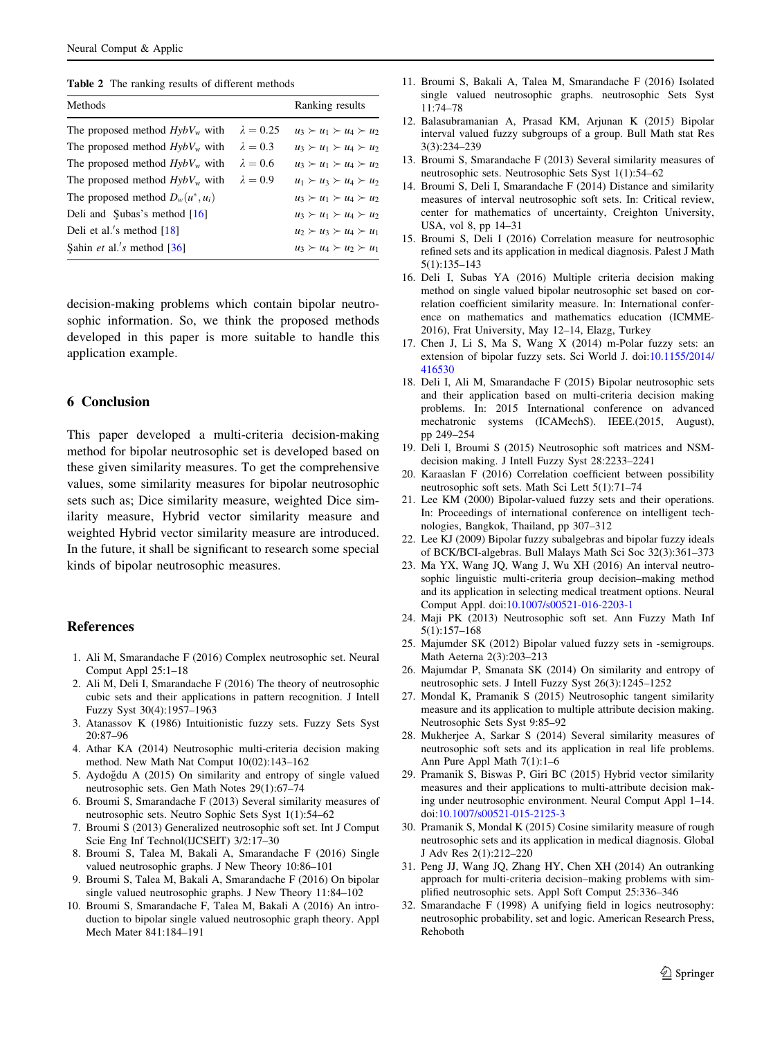<span id="page-8-0"></span>Table 2 The ranking results of different methods

| Methods                                         |                                     | Ranking results                     |
|-------------------------------------------------|-------------------------------------|-------------------------------------|
| The proposed method $Hy bV_w$ with              | $\lambda = 0.25$                    | $u_3 \succ u_1 \succ u_4 \succ u_2$ |
| The proposed method $Hy bV_w$ with              | $\lambda = 0.3$                     | $u_3 \succ u_1 \succ u_4 \succ u_2$ |
| The proposed method $Hv bV_w$ with              | $\lambda = 0.6$                     | $u_3 \succ u_1 \succ u_4 \succ u_2$ |
| The proposed method $Hv bV_w$ with              | $\lambda = 0.9$                     | $u_1 \succ u_3 \succ u_4 \succ u_2$ |
| The proposed method $D_w(u^*, u_i)$             | $u_3 \succ u_1 \succ u_4 \succ u_2$ |                                     |
| Deli and $\mathcal S$ ubas's method [16]        | $u_3 \succ u_1 \succ u_4 \succ u_2$ |                                     |
| Deli et al.'s method $[18]$                     | $u_2 \succ u_3 \succ u_4 \succ u_1$ |                                     |
| Sahin <i>et al.'s</i> method $\lceil 36 \rceil$ |                                     | $u_3 \succ u_4 \succ u_2 \succ u_1$ |
|                                                 |                                     |                                     |

decision-making problems which contain bipolar neutrosophic information. So, we think the proposed methods developed in this paper is more suitable to handle this application example.

# 6 Conclusion

This paper developed a multi-criteria decision-making method for bipolar neutrosophic set is developed based on these given similarity measures. To get the comprehensive values, some similarity measures for bipolar neutrosophic sets such as; Dice similarity measure, weighted Dice similarity measure, Hybrid vector similarity measure and weighted Hybrid vector similarity measure are introduced. In the future, it shall be significant to research some special kinds of bipolar neutrosophic measures.

#### References

- 1. Ali M, Smarandache F (2016) Complex neutrosophic set. Neural Comput Appl 25:1–18
- 2. Ali M, Deli I, Smarandache F (2016) The theory of neutrosophic cubic sets and their applications in pattern recognition. J Intell Fuzzy Syst 30(4):1957–1963
- 3. Atanassov K (1986) Intuitionistic fuzzy sets. Fuzzy Sets Syst 20:87–96
- 4. Athar KA (2014) Neutrosophic multi-criteria decision making method. New Math Nat Comput 10(02):143–162
- 5. Aydoğdu A (2015) On similarity and entropy of single valued neutrosophic sets. Gen Math Notes 29(1):67–74
- 6. Broumi S, Smarandache F (2013) Several similarity measures of neutrosophic sets. Neutro Sophic Sets Syst 1(1):54–62
- 7. Broumi S (2013) Generalized neutrosophic soft set. Int J Comput Scie Eng Inf Technol(IJCSEIT) 3/2:17–30
- 8. Broumi S, Talea M, Bakali A, Smarandache F (2016) Single valued neutrosophic graphs. J New Theory 10:86–101
- 9. Broumi S, Talea M, Bakali A, Smarandache F (2016) On bipolar single valued neutrosophic graphs. J New Theory 11:84–102
- 10. Broumi S, Smarandache F, Talea M, Bakali A (2016) An introduction to bipolar single valued neutrosophic graph theory. Appl Mech Mater 841:184–191
- 11. Broumi S, Bakali A, Talea M, Smarandache F (2016) Isolated single valued neutrosophic graphs. neutrosophic Sets Syst 11:74–78
- 12. Balasubramanian A, Prasad KM, Arjunan K (2015) Bipolar interval valued fuzzy subgroups of a group. Bull Math stat Res 3(3):234–239
- 13. Broumi S, Smarandache F (2013) Several similarity measures of neutrosophic sets. Neutrosophic Sets Syst 1(1):54–62
- 14. Broumi S, Deli I, Smarandache F (2014) Distance and similarity measures of interval neutrosophic soft sets. In: Critical review, center for mathematics of uncertainty, Creighton University, USA, vol 8, pp 14–31
- 15. Broumi S, Deli I (2016) Correlation measure for neutrosophic refined sets and its application in medical diagnosis. Palest J Math 5(1):135–143
- 16. Deli I, Subas YA (2016) Multiple criteria decision making method on single valued bipolar neutrosophic set based on correlation coefficient similarity measure. In: International conference on mathematics and mathematics education (ICMME-2016), Frat University, May 12–14, Elazg, Turkey
- 17. Chen J, Li S, Ma S, Wang X (2014) m-Polar fuzzy sets: an extension of bipolar fuzzy sets. Sci World J. doi[:10.1155/2014/](http://dx.doi.org/10.1155/2014/416530) [416530](http://dx.doi.org/10.1155/2014/416530)
- 18. Deli I, Ali M, Smarandache F (2015) Bipolar neutrosophic sets and their application based on multi-criteria decision making problems. In: 2015 International conference on advanced mechatronic systems (ICAMechS). IEEE.(2015, August), pp 249–254
- 19. Deli I, Broumi S (2015) Neutrosophic soft matrices and NSMdecision making. J Intell Fuzzy Syst 28:2233–2241
- 20. Karaaslan F (2016) Correlation coefficient between possibility neutrosophic soft sets. Math Sci Lett 5(1):71–74
- 21. Lee KM (2000) Bipolar-valued fuzzy sets and their operations. In: Proceedings of international conference on intelligent technologies, Bangkok, Thailand, pp 307–312
- 22. Lee KJ (2009) Bipolar fuzzy subalgebras and bipolar fuzzy ideals of BCK/BCI-algebras. Bull Malays Math Sci Soc 32(3):361–373
- 23. Ma YX, Wang JQ, Wang J, Wu XH (2016) An interval neutrosophic linguistic multi-criteria group decision–making method and its application in selecting medical treatment options. Neural Comput Appl. doi:[10.1007/s00521-016-2203-1](http://dx.doi.org/10.1007/s00521-016-2203-1)
- 24. Maji PK (2013) Neutrosophic soft set. Ann Fuzzy Math Inf 5(1):157–168
- 25. Majumder SK (2012) Bipolar valued fuzzy sets in -semigroups. Math Aeterna 2(3):203–213
- 26. Majumdar P, Smanata SK (2014) On similarity and entropy of neutrosophic sets. J Intell Fuzzy Syst 26(3):1245–1252
- 27. Mondal K, Pramanik S (2015) Neutrosophic tangent similarity measure and its application to multiple attribute decision making. Neutrosophic Sets Syst 9:85–92
- 28. Mukherjee A, Sarkar S (2014) Several similarity measures of neutrosophic soft sets and its application in real life problems. Ann Pure Appl Math 7(1):1–6
- 29. Pramanik S, Biswas P, Giri BC (2015) Hybrid vector similarity measures and their applications to multi-attribute decision making under neutrosophic environment. Neural Comput Appl 1–14. doi:[10.1007/s00521-015-2125-3](http://dx.doi.org/10.1007/s00521-015-2125-3)
- 30. Pramanik S, Mondal K (2015) Cosine similarity measure of rough neutrosophic sets and its application in medical diagnosis. Global J Adv Res 2(1):212–220
- 31. Peng JJ, Wang JQ, Zhang HY, Chen XH (2014) An outranking approach for multi-criteria decision–making problems with simplified neutrosophic sets. Appl Soft Comput 25:336–346
- 32. Smarandache F (1998) A unifying field in logics neutrosophy: neutrosophic probability, set and logic. American Research Press, Rehoboth